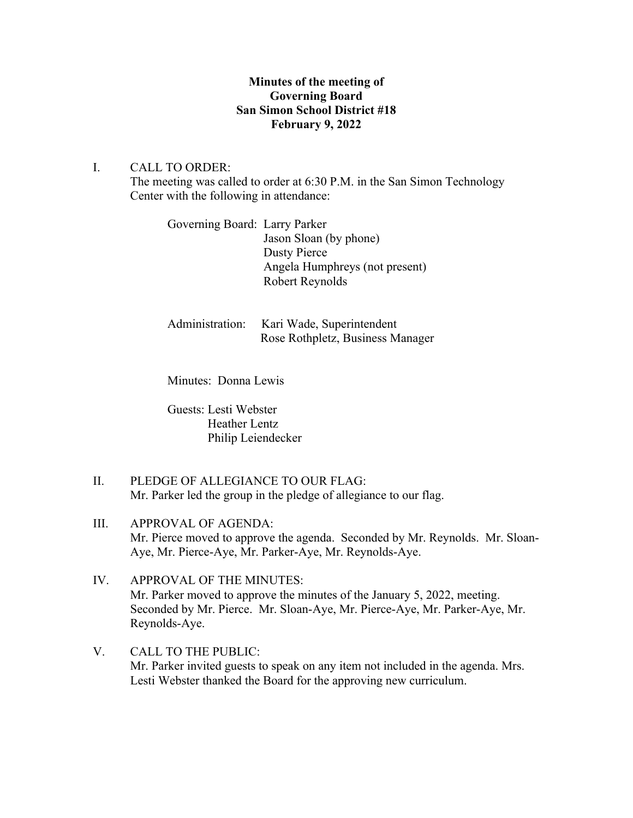# **Minutes of the meeting of Governing Board San Simon School District #18 February 9, 2022**

## I. CALL TO ORDER:

The meeting was called to order at 6:30 P.M. in the San Simon Technology Center with the following in attendance:

| Governing Board: Larry Parker |                                |
|-------------------------------|--------------------------------|
|                               | Jason Sloan (by phone)         |
|                               | Dusty Pierce                   |
|                               | Angela Humphreys (not present) |
|                               | Robert Reynolds                |
|                               |                                |

| Administration: Kari Wade, Superintendent |
|-------------------------------------------|
| Rose Rothpletz, Business Manager          |

Minutes: Donna Lewis

Guests: Lesti Webster Heather Lentz Philip Leiendecker

- II. PLEDGE OF ALLEGIANCE TO OUR FLAG: Mr. Parker led the group in the pledge of allegiance to our flag.
- III. APPROVAL OF AGENDA: Mr. Pierce moved to approve the agenda. Seconded by Mr. Reynolds. Mr. Sloan-Aye, Mr. Pierce-Aye, Mr. Parker-Aye, Mr. Reynolds-Aye.
- IV. APPROVAL OF THE MINUTES: Mr. Parker moved to approve the minutes of the January 5, 2022, meeting. Seconded by Mr. Pierce. Mr. Sloan-Aye, Mr. Pierce-Aye, Mr. Parker-Aye, Mr. Reynolds-Aye.
- V. CALL TO THE PUBLIC: Mr. Parker invited guests to speak on any item not included in the agenda. Mrs. Lesti Webster thanked the Board for the approving new curriculum.